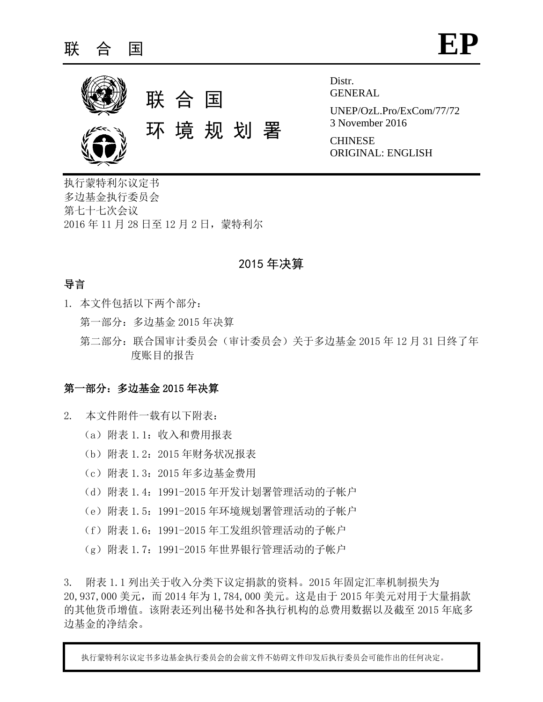

Distr. GENERAL

UNEP/OzL.Pro/ExCom/77/72 3 November 2016

**CHINESE** ORIGINAL: ENGLISH

执行蒙特利尔议定书 多边基金执行委员会 第七十七次会议 2016 年 11 月 28 日至 12 月 2 日,蒙特利尔

## 2015 年决算

### 导言

- 1. 本文件包括以下两个部分:
	- 第一部分:多边基金 2015 年决算
	- 第二部分:联合国审计委员会(审计委员会)关于多边基金 2015 年 12 月 31 日终了年 度账目的报告

### 第一部分:多边基金 2015 年决算

- 2. 本文件附件一载有以下附表:
	- (a)附表 1.1:收入和费用报表
	- (b)附表 1.2:2015 年财务状况报表
	- (c)附表 1.3:2015 年多边基金费用
	- (d)附表 1.4:1991-2015 年开发计划署管理活动的子帐户
	- (e)附表 1.5:1991-2015 年环境规划署管理活动的子帐户
	- (f)附表 1.6:1991-2015 年工发组织管理活动的子帐户
	- (g)附表 1.7:1991-2015 年世界银行管理活动的子帐户

3. 附表 1.1 列出关于收入分类下议定捐款的资料。2015 年固定汇率机制损失为 20,937,000 美元,而 2014 年为 1,784,000 美元。这是由于 2015 年美元对用于大量捐款 的其他货币增值。该附表还列出秘书处和各执行机构的总费用数据以及截至 2015 年底多 边基金的净结余。

执行蒙特利尔议定书多边基金执行委员会的会前文件不妨碍文件印发后执行委员会可能作出的任何决定。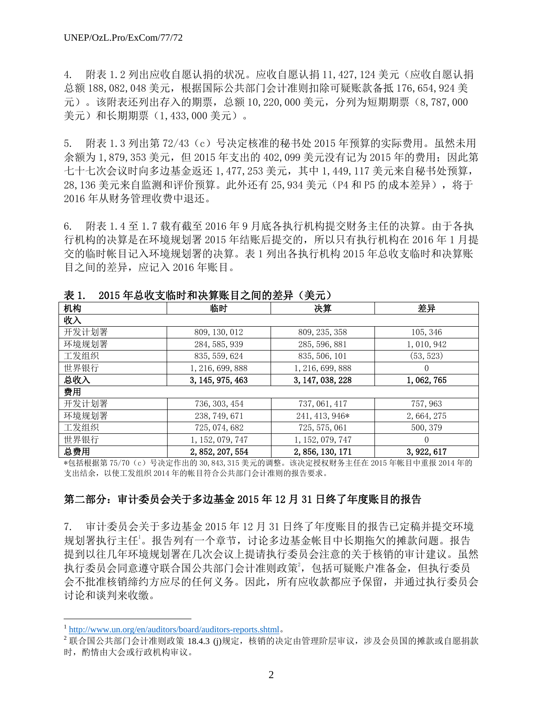4. 附表 1.2 列出应收自愿认捐的状况。应收自愿认捐 11,427,124 美元(应收自愿认捐 总额 188,082,048 美元,根据国际公共部门会计准则扣除可疑账款备抵 176,654,924 美 元)。该附表还列出存入的期票,总额 10,220,000 美元,分列为短期期票(8,787,000 美元)和长期期票(1,433,000 美元)。

5. 附表 1.3 列出第 72/43(c)号决定核准的秘书处 2015 年预算的实际费用。虽然未用 余额为 1,879,353 美元, 但 2015 年支出的 402,099 美元没有记为 2015 年的费用;因此第 七十七次会议时向多边基金返还 1,477,253 美元,其中 1,449,117 美元来自秘书处预算, 28,136 美元来自监测和评价预算。此外还有 25,934 美元 (P4 和 P5 的成本差异), 将于 2016 年从财务管理收费中退还。

6. 附表 1.4 至 1.7 载有截至 2016 年 9 月底各执行机构提交财务主任的决算。由于各执 行机构的决算是在环境规划署 2015 年结账后提交的,所以只有执行机构在 2016 年 1 月提 交的临时帐目记入环境规划署的决算。表 1 列出各执行机构 2015 年总收支临时和决算账 目之间的差异,应记入 2016 年账目。

| XX 1.<br>2010 平心以入順的 仲伏弁씨日之門的左开 \犬儿ノ |                  |                  |             |  |  |  |  |
|--------------------------------------|------------------|------------------|-------------|--|--|--|--|
| 机构                                   | 临时               | 决算               | 差异          |  |  |  |  |
| 收入                                   |                  |                  |             |  |  |  |  |
| 开发计划署                                | 809, 130, 012    | 809, 235, 358    | 105, 346    |  |  |  |  |
| 环境规划署                                | 284, 585, 939    | 285, 596, 881    | 1,010,942   |  |  |  |  |
| 工发组织                                 | 835, 559, 624    | 835, 506, 101    | (53, 523)   |  |  |  |  |
| 世界银行                                 | 1, 216, 699, 888 | 1, 216, 699, 888 | 0           |  |  |  |  |
| 总收入                                  | 3, 145, 975, 463 | 3, 147, 038, 228 | 1,062,765   |  |  |  |  |
| 费用                                   |                  |                  |             |  |  |  |  |
| 开发计划署                                | 736, 303, 454    | 737, 061, 417    | 757, 963    |  |  |  |  |
| 环境规划署                                | 238, 749, 671    | 241, 413, 946*   | 2, 664, 275 |  |  |  |  |
| 工发组织                                 | 725, 074, 682    | 725, 575, 061    | 500, 379    |  |  |  |  |
| 世界银行                                 | 1, 152, 079, 747 | 1, 152, 079, 747 | $\Omega$    |  |  |  |  |
| 总费用                                  | 2, 852, 207, 554 | 2, 856, 130, 171 | 3, 922, 617 |  |  |  |  |

0015 年首版大张府和准管账目之间的关导(美宗)

\*包括根据第 75/70(c)号决定作出的 30,843,315 美元的调整。该决定授权财务主任在 2015 年帐目中重报 2014 年的 支出结余,以使工发组织 2014 年的帐目符合公共部门会计准则的报告要求。

### 第二部分:审计委员会关于多边基金 2015 年 12 月 31 日终了年度账目的报告

7. 审计委员会关于多边基金 2015 年 12 月 31 日终了年度账目的报告已定稿并提交环境 规划署执行主任<sup>1</sup>。报告列有一个章节,讨论多边基金帐目中长期拖欠的摊款问题。报告 提到以往几年环境规划署在几次会议上提请执行委员会注意的关于核销的审计建议。虽然 执行委员会同意遵守联合国公共部门会计准则政策2,包括可疑账户准备金,但执行委员 会不批准核销缔约方应尽的任何义务。因此,所有应收款都应予保留,并通过执行委员会 讨论和谈判来收缴。

 $\overline{\phantom{a}}$ 

<sup>&</sup>lt;sup>1</sup> <http://www.un.org/en/auditors/board/auditors-reports.shtml>.

 $^2$ 联合国公共部门会计准则政策 18.4.3 (j)规定,核销的决定由管理阶层审议,涉及会员国的摊款或自愿捐款 时, 酌情由大会或行政机构审议。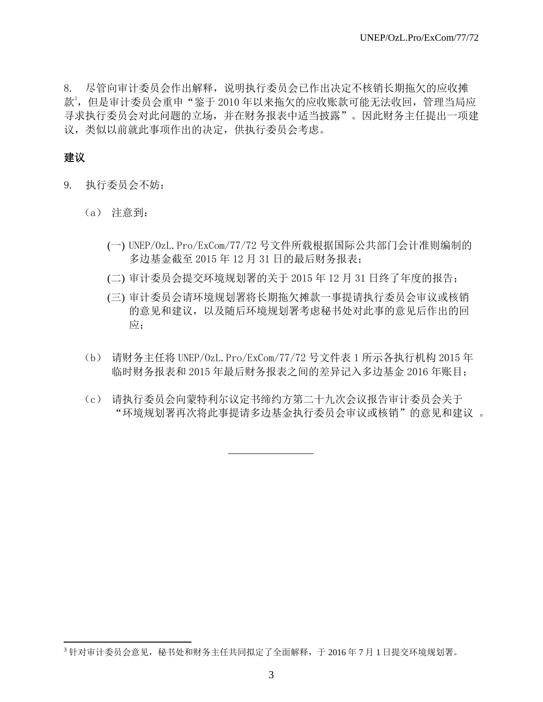8. 尽管向审计委员会作出解释,说明执行委员会已作出决定不核销长期拖欠的应收摊 款3,但是审计委员会重申"鉴于 2010 年以来拖欠的应收账款可能无法收回,管理当局应 寻求执行委员会对此问题的立场,并在财务报表中适当披露"。因此财务主任提出一项建 议,类似以前就此事项作出的决定,供执行委员会考虑。

### 建议

 $\overline{\phantom{a}}$ 

- 9. 执行委员会不妨:
	- (a) 注意到:
		- (一) UNEP/OzL.Pro/ExCom/77/72 号文件所载根据国际公共部门会计准则编制的 多边基金截至 2015 年 12 月 31 日的最后财务报表;
		- (二) 审计委员会提交环境规划署的关于 2015 年 12 月 31 日终了年度的报告;
		- (三) 审计委员会请环境规划署将长期拖欠摊款一事提请执行委员会审议或核销 的意见和建议,以及随后环境规划署考虑秘书处对此事的意见后作出的回 应:
	- (b) 请财务主任将 UNEP/OzL.Pro/ExCom/77/72 号文件表 1 所示各执行机构 2015 年 临时财务报表和 2015 年最后财务报表之间的差异记入多边基金 2016 年账目;
	- (c) 请执行委员会向蒙特利尔议定书缔约方第二十九次会议报告审计委员会关于 "环境规划署再次将此事提请多边基金执行委员会审议或核销"的意见和建议 。

<sup>3</sup> 针对审计委员会意见,秘书处和财务主任共同拟定了全面解释,于 2016 年 7 月 1 日提交环境规划署。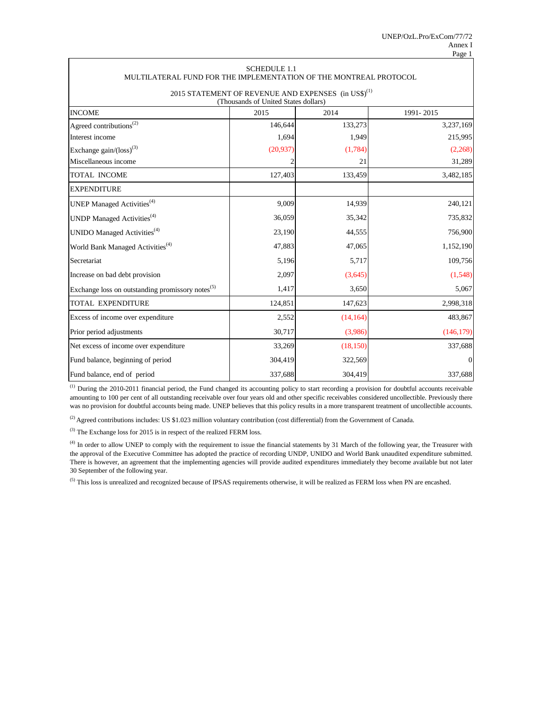| MULTILATERAL FUND FOR THE IMPLEMENTATION OF THE MONTREAL PROTOCOL | SUHEDULE 1.1                         |                                                                 |                |
|-------------------------------------------------------------------|--------------------------------------|-----------------------------------------------------------------|----------------|
|                                                                   |                                      | 2015 STATEMENT OF REVENUE AND EXPENSES (in US\$) <sup>(1)</sup> |                |
|                                                                   | (Thousands of United States dollars) |                                                                 |                |
| <b>INCOME</b>                                                     | 2015                                 | 2014                                                            | 1991-2015      |
| Agreed contributions <sup>(2)</sup>                               | 146,644                              | 133,273                                                         | 3,237,169      |
| Interest income                                                   | 1,694                                | 1,949                                                           | 215,995        |
| Exchange $gain/(loss)^{(3)}$                                      | (20, 937)                            | (1,784)                                                         | (2,268)        |
| Miscellaneous income                                              |                                      | 21                                                              | 31,289         |
| TOTAL INCOME                                                      | 127,403                              | 133,459                                                         | 3,482,185      |
| <b>EXPENDITURE</b>                                                |                                      |                                                                 |                |
| UNEP Managed Activities <sup>(4)</sup>                            | 9,009                                | 14,939                                                          | 240,121        |
| UNDP Managed Activities <sup>(4)</sup>                            | 36,059                               | 35,342                                                          | 735,832        |
| UNIDO Managed Activities <sup>(4)</sup>                           | 23,190                               | 44,555                                                          | 756,900        |
| World Bank Managed Activities <sup>(4)</sup>                      | 47,883                               | 47,065                                                          | 1,152,190      |
| Secretariat                                                       | 5,196                                | 5,717                                                           | 109,756        |
| Increase on bad debt provision                                    | 2,097                                | (3,645)                                                         | (1,548)        |
| Exchange loss on outstanding promissory notes <sup>(5)</sup>      | 1,417                                | 3,650                                                           | 5,067          |
| <b>TOTAL EXPENDITURE</b>                                          | 124,851                              | 147,623                                                         | 2,998,318      |
| Excess of income over expenditure                                 | 2,552                                | (14, 164)                                                       | 483,867        |
| Prior period adjustments                                          | 30,717                               | (3,986)                                                         | (146, 179)     |
| Net excess of income over expenditure                             | 33,269                               | (18, 150)                                                       | 337,688        |
| Fund balance, beginning of period                                 | 304,419                              | 322,569                                                         | $\overline{0}$ |
| Fund balance, end of period                                       | 337,688                              | 304,419                                                         | 337,688        |

(1) During the 2010-2011 financial period, the Fund changed its accounting policy to start recording a provision for doubtful accounts receivable amounting to 100 per cent of all outstanding receivable over four years old and other specific receivables considered uncollectible. Previously there was no provision for doubtful accounts being made. UNEP believes that this policy results in a more transparent treatment of uncollectible accounts.

 $^{(2)}$  Agreed contributions includes: US \$1.023 million voluntary contribution (cost differential) from the Government of Canada.

(3) The Exchange loss for 2015 is in respect of the realized FERM loss.

<sup>(4)</sup> In order to allow UNEP to comply with the requirement to issue the financial statements by 31 March of the following year, the Treasurer with the approval of the Executive Committee has adopted the practice of recording UNDP, UNIDO and World Bank unaudited expenditure submitted. There is however, an agreement that the implementing agencies will provide audited expenditures immediately they become available but not later 30 September of the following year.

<sup>(5)</sup> This loss is unrealized and recognized because of IPSAS requirements otherwise, it will be realized as FERM loss when PN are encashed.

# $SCIIENH E 1.1$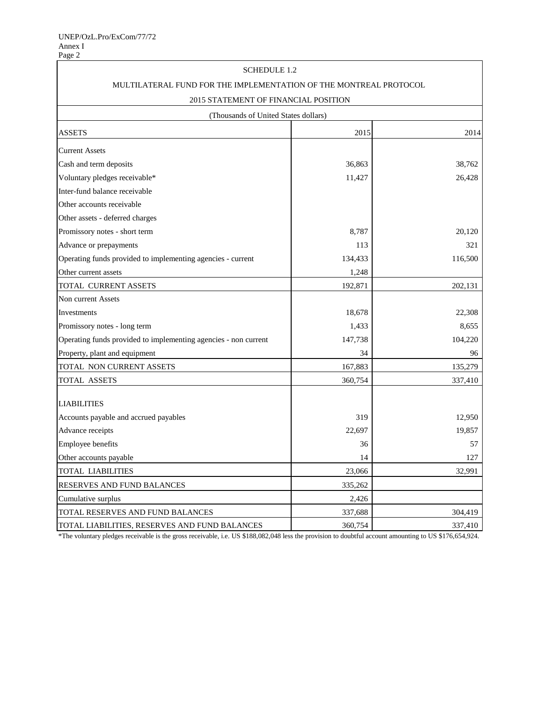| <b>SCHEDULE 1.2</b>                                               |         |         |
|-------------------------------------------------------------------|---------|---------|
| MULTILATERAL FUND FOR THE IMPLEMENTATION OF THE MONTREAL PROTOCOL |         |         |
| 2015 STATEMENT OF FINANCIAL POSITION                              |         |         |
| (Thousands of United States dollars)                              |         |         |
| <b>ASSETS</b>                                                     | 2015    | 2014    |
| <b>Current Assets</b>                                             |         |         |
| Cash and term deposits                                            | 36,863  | 38,762  |
| Voluntary pledges receivable*                                     | 11,427  | 26,428  |
| Inter-fund balance receivable                                     |         |         |
| Other accounts receivable                                         |         |         |
| Other assets - deferred charges                                   |         |         |
| Promissory notes - short term                                     | 8,787   | 20,120  |
| Advance or prepayments                                            | 113     | 321     |
| Operating funds provided to implementing agencies - current       | 134,433 | 116,500 |
| Other current assets                                              | 1,248   |         |
| TOTAL CURRENT ASSETS                                              | 192,871 | 202,131 |
| Non current Assets                                                |         |         |
| Investments                                                       | 18,678  | 22,308  |
| Promissory notes - long term                                      | 1,433   | 8,655   |
| Operating funds provided to implementing agencies - non current   | 147,738 | 104,220 |
| Property, plant and equipment                                     | 34      | 96      |
| TOTAL NON CURRENT ASSETS                                          | 167,883 | 135,279 |
| TOTAL ASSETS                                                      | 360,754 | 337,410 |
| <b>LIABILITIES</b>                                                |         |         |
| Accounts payable and accrued payables                             | 319     | 12,950  |
| Advance receipts                                                  | 22,697  | 19,857  |
| Employee benefits                                                 | 36      | 57      |
| Other accounts payable                                            | 14      | 127     |
| <b>TOTAL LIABILITIES</b>                                          | 23,066  | 32,991  |
| RESERVES AND FUND BALANCES                                        | 335,262 |         |
| Cumulative surplus                                                | 2,426   |         |
| TOTAL RESERVES AND FUND BALANCES                                  | 337,688 | 304,419 |
| TOTAL LIABILITIES, RESERVES AND FUND BALANCES                     | 360,754 | 337,410 |

\*The voluntary pledges receivable is the gross receivable, i.e. US \$188,082,048 less the provision to doubtful account amounting to US \$176,654,924.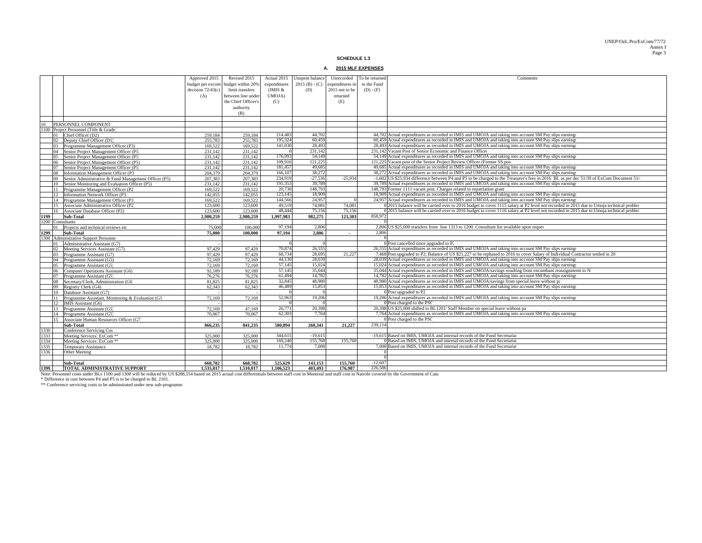#### UNEP/OzL.Pro/ExCom/77/72 Annex IPage 3

**SCHEDULE 1.3**

#### **A. 2015 MLF EXPENSES**

|      |                                                                                                                                                                                                                  | Approved 2015       | Revised 2015                       | Actual 2015  | Unspent balance  |                 | Unrecorded To be returned | Comments                                                                                                                                                                                |
|------|------------------------------------------------------------------------------------------------------------------------------------------------------------------------------------------------------------------|---------------------|------------------------------------|--------------|------------------|-----------------|---------------------------|-----------------------------------------------------------------------------------------------------------------------------------------------------------------------------------------|
|      |                                                                                                                                                                                                                  |                     |                                    | expenditures | $2015(B) - (C)$  | expenditures in | to the Fund               |                                                                                                                                                                                         |
|      |                                                                                                                                                                                                                  |                     | budget per excom budget within 20% |              |                  |                 |                           |                                                                                                                                                                                         |
|      |                                                                                                                                                                                                                  | decision $72/43(c)$ | limit transfers                    | (IMIS &      | (D)              | 2015 not to be  | $(D) - (F)$               |                                                                                                                                                                                         |
|      |                                                                                                                                                                                                                  | (A)                 | between line under                 | UMOJA)       |                  | returned        |                           |                                                                                                                                                                                         |
|      |                                                                                                                                                                                                                  |                     | the Chief Officer's                | (C)          |                  | (E)             |                           |                                                                                                                                                                                         |
|      |                                                                                                                                                                                                                  |                     | authority                          |              |                  |                 |                           |                                                                                                                                                                                         |
|      |                                                                                                                                                                                                                  |                     | (B)                                |              |                  |                 |                           |                                                                                                                                                                                         |
|      |                                                                                                                                                                                                                  |                     |                                    |              |                  |                 |                           |                                                                                                                                                                                         |
| 10   | PERSONNEL COMPONENT                                                                                                                                                                                              |                     |                                    |              |                  |                 |                           |                                                                                                                                                                                         |
|      | 1100 Project Personnel (Title & Grade)                                                                                                                                                                           |                     |                                    |              |                  |                 |                           |                                                                                                                                                                                         |
|      | 01 Chief Officer (D2)                                                                                                                                                                                            | 259,184             | 259,184                            | 214,483      | 44,702           |                 |                           | 44,702 Actual expenditures as recorded in IMIS and UMOJA and taking into account SM Pay slips earnings                                                                                  |
|      | 02 Deputy Chief Officer (D1)                                                                                                                                                                                     | 255,783             | 255,783                            | 195,324      | 60.459           |                 |                           | 60,459 Actual expenditures as recorded in IMIS and UMOJA and taking into account SM Pay slips earnings                                                                                  |
|      | 03 Programme Management Officer (P3)                                                                                                                                                                             | 169,522             | 169.522                            | 141.030      | 28.493           |                 |                           | 28.493 Actual expenditures as recorded in IMIS and UMOJA and taking into account SM Pay slips earnings                                                                                  |
|      | 04 Senior Project Management Officer (P5                                                                                                                                                                         | 231,142             | 231,142                            |              | 231,142          |                 |                           | 231,142 Vacant Post of Senior Economic and Finance Officer                                                                                                                              |
|      | Senior Project Management Officer (P5<br>05                                                                                                                                                                      | 231.142             | 231.142                            | 176,993      | 54,149           |                 |                           | 54.149 Actual expenditures as recorded in IMIS and UMOJA and taking into account SM Pay slips earnings                                                                                  |
|      | Senior Project Management Officer (P5)<br>06                                                                                                                                                                     | 231.142             | 231.142                            | 109.916      | 121.225          |                 |                           | 121,225 Vacant post of the Senior Project Review Officer (Former SS pos                                                                                                                 |
|      | Senior Project Management Officer (P5<br>07                                                                                                                                                                      | 231,142             | 231,142                            | 181.457      | 49.685           |                 |                           | 49,685 Actual expenditures as recorded in IMIS and UMOJA and taking into account SM Pay slips earnings                                                                                  |
|      | 08<br>Information Management Officer (P3                                                                                                                                                                         | 204,379             | 204,379                            | 166,107      | 38,272           |                 |                           | 38,272 Actual expenditures as recorded in IMIS and UMOJA and taking into account SM Pay slips earnings                                                                                  |
|      | 09 Senior Administrative & Fund Management Officer (P5)                                                                                                                                                          | 207,383             | 207,383                            | 234,919      | $-27.536$        | $-25.934$       |                           | -1,602 US \$25,934 difference between P4 and P5 to be charged to the Treasurer's fees in 2016 BL as per dec 51/39 of ExCom Document 51/                                                 |
|      | Senior Monitoring and Evaluation Officer (P5)<br>10                                                                                                                                                              | 231.142             | 231.142                            | 191,353      | 39,789           |                 |                           | 39,789 Actual expenditures as recorded in IMIS and UMOJA and taking into account SM Pay slips earnings                                                                                  |
|      | 11 Programme Management Officer (P2                                                                                                                                                                              | 169.522             | 169.522                            | 20,730       | 148,793          |                 |                           | 148,793 Former 1111 vacant post. Charges related to repatriation grant                                                                                                                  |
|      | 12 Information Network Officer (P3)                                                                                                                                                                              | 142,055             | 142,055                            | 123,145      | 18,909           |                 |                           | 18,909 Actual expenditures as recorded in IMIS and UMOJA and taking into account SM Pay slips earnings                                                                                  |
|      | 14 Programme Management Officer (P3                                                                                                                                                                              | 169.522             | 169.522                            | 144,566      | 24.957           | $\Omega$        |                           | 24,957 Actual expenditures as recorded in IMIS and UMOJA and taking into account SM Pay slips earnings                                                                                  |
|      | 15 Associate Administrative Officer (P2)                                                                                                                                                                         | 123,600             | 123,600                            | 49.519       | 74.081           | 74,081          |                           | 0 2015 balance will be carried over to 2016 budget to cover 1115 salary at P2 level not recorded in 2015 due to Umoja technical probler                                                 |
|      | Associate Database Officer (P2)<br>16                                                                                                                                                                            | 123,600             | 123,600                            | 48,444       | 75,156           | 75.156          |                           | 0 2015 balance will be carried over to 2016 budget to cover 1116 salary at P2 level not recorded in 2015 due to Umoja technical probler                                                 |
| 1199 | Sub-Total                                                                                                                                                                                                        | 2.980.259           | 2.980.259                          | 1.997.983    | 982.275          | 123.303         | 858,972                   |                                                                                                                                                                                         |
|      | 1200 Consultants                                                                                                                                                                                                 |                     |                                    |              |                  |                 |                           |                                                                                                                                                                                         |
|      | 01 Projects and technical reviews etc                                                                                                                                                                            | 75,000              | 100,000                            | 97,194       | 2,806            |                 |                           | 2,806 US \$25,000 transfers from line 1313 to 1200. Consultant list available upon reques                                                                                               |
| 1299 | Sub-Total                                                                                                                                                                                                        | 75,000              | 100,000                            | 97.194       | 2.806            | $\sim$          | 2.806                     |                                                                                                                                                                                         |
|      | 1300 Administrative Support Personne                                                                                                                                                                             |                     |                                    |              |                  |                 |                           |                                                                                                                                                                                         |
|      | 01 Administrative Assistant (G7)                                                                                                                                                                                 |                     |                                    |              |                  |                 |                           | 0 Post cancelled since upgraded to P.                                                                                                                                                   |
|      | 02 Meeting Services Assistant (G7)                                                                                                                                                                               | 97,429              | 97,429                             | 70,874       | 26,555           |                 |                           | 26,555 Actual expenditures as recorded in IMIS and UMOJA and taking into account SM Pay slips earnings                                                                                  |
|      | Programme Assistant (G7)<br>03                                                                                                                                                                                   | 97,429              | 97.429                             | 68,734       | 28.695           | 21,227          |                           | 7,468 Post upgraded to P2; Balance of US \$21,227 to be rephased to 2016 to cover Salary of Individual Contractor settled in 20                                                         |
|      | 04 Programme Assistant (G5)                                                                                                                                                                                      | 72,169              | 72,169                             | 44,130       | 28,039           |                 |                           | 28.039 Actual expenditures as recorded in IMIS and UMOJA and taking into account SM Pay slips earnings                                                                                  |
|      | 05 Programme Assistant (G5)                                                                                                                                                                                      | 72,169              | 72,169                             | 57,145       | 15.024           |                 |                           | 15,024 Actual expenditures as recorded in IMIS and UMOJA and taking into account SM Pay slips earnings                                                                                  |
|      | 06 Computer Operations Assistant (G6)                                                                                                                                                                            | 92.189              | 92.189                             | 57,145       | 35,044           |                 |                           | 35,044 Actual expenditures as recorded in IMIS and UMOJA/savings resulting from encumbant reassignment to N                                                                             |
|      | 07                                                                                                                                                                                                               |                     | 76.276                             | 61.494       | 14.782           |                 |                           | 14,782 Actual expenditures as recorded in IMIS and UMOJA and taking into account SM Pay slips earnings                                                                                  |
|      | Programme Assistant (G5)                                                                                                                                                                                         | 76,276<br>81,825    | 81.825                             | 32,845       | 48,980           |                 |                           | 48,980 Actual expenditures as recorded in IMIS and UMOJA/savings from special leave without pa                                                                                          |
|      | 08 Secretary/Clerk, Administration (G6)                                                                                                                                                                          | 62.343              | 62.343                             | 46,489       | 15,853           |                 |                           | 15,853 Actual expenditures as recorded in IMIS and UMOJA and taking into account SM Pay slips earnings                                                                                  |
|      | 09 Registry Clerk (G4)                                                                                                                                                                                           |                     |                                    |              |                  |                 |                           | 0 Post upgraded to P2                                                                                                                                                                   |
|      | Database Assistant (G7)<br>10                                                                                                                                                                                    |                     |                                    | 52,963       | 19,206           |                 |                           | 19,206 Actual expenditures as recorded in IMIS and UMOJA and taking into account SM Pay slips earnings                                                                                  |
|      | 11 Programme Assistant, Monitoring & Evaluation (G5<br>12                                                                                                                                                        | 72.169              | 72.169                             |              |                  |                 |                           | 0 Post charged to the PSC                                                                                                                                                               |
|      | IMIS Assistant (G6)                                                                                                                                                                                              |                     |                                    | 26,771       | 20.398           |                 |                           |                                                                                                                                                                                         |
|      | Programme Assistant (G5)<br>13                                                                                                                                                                                   | 72,169              | 47.169                             |              | 7.764            |                 |                           | 20,398 US \$25,000 shifted to BL1201/ Staff Member on special leave without pa<br>7.764 Actual expenditures as recorded in IMIS and UMOJA and taking into account SM Pay slips earnings |
|      | Programme Assistant (G5)<br>14                                                                                                                                                                                   | 70.067              | 70.067                             | 62.303       |                  |                 |                           | Post charged to the PSC                                                                                                                                                                 |
|      | Associate Human Resources Officer (G7)<br>15                                                                                                                                                                     |                     |                                    |              |                  |                 |                           |                                                                                                                                                                                         |
|      | Sub-Total                                                                                                                                                                                                        | 866.235             | 841.235                            | 580.894      | 260.341          | 21,227          | 239,114                   |                                                                                                                                                                                         |
| 1330 | Conference Servicing Cos                                                                                                                                                                                         |                     |                                    |              |                  |                 |                           |                                                                                                                                                                                         |
| 1333 | Meeting Services: ExCom **                                                                                                                                                                                       | 325,000             | 325,000                            | 344,615      | $-19,615$        |                 |                           | -19,615 Based on IMIS, UMOJA and internal records of the Fund Secretaria                                                                                                                |
| 1334 | Meeting Services: ExCom **                                                                                                                                                                                       | 325.000             | 325.000                            | 169,240      | 155,760<br>7.008 | 155,760         |                           | Based on IMIS, UMOJA and internal records of the Fund Secretaria                                                                                                                        |
| 1335 | Temporary Assistance                                                                                                                                                                                             | 18.782              | 18.782                             | 11.774       |                  |                 |                           | 7.008 Based on IMIS, UMOJA and internal records of the Fund Secretarial                                                                                                                 |
| 1336 | <b>Other Meeting</b>                                                                                                                                                                                             |                     |                                    |              |                  |                 |                           |                                                                                                                                                                                         |
|      |                                                                                                                                                                                                                  |                     |                                    |              |                  |                 |                           |                                                                                                                                                                                         |
|      | Sub-Total                                                                                                                                                                                                        | 668.782             | 668.782                            | 525,629      | 143.153          | 155,760         | $-12,607$                 |                                                                                                                                                                                         |
| 1399 | TOTAL ADMINISTRATIVE SUPPORT                                                                                                                                                                                     | 1.535.017           | 1.510.017                          | 1.106.523    | 403.493          | 176.987         | 226,506                   |                                                                                                                                                                                         |
|      | Note: Personnel costs under BLs 1100 and 1300 will be reduced by US \$288,554 based on 2015 actual cost differentials between staff cost in Montreal and staff cost in Nairobi covered by the Government of Cana |                     |                                    |              |                  |                 |                           |                                                                                                                                                                                         |
|      | * Difference in cost between P4 and P5 is to be charged to BL 2101.                                                                                                                                              |                     |                                    |              |                  |                 |                           |                                                                                                                                                                                         |
|      | ** Conference servicing costs to be adminstrated under new sub-programm                                                                                                                                          |                     |                                    |              |                  |                 |                           |                                                                                                                                                                                         |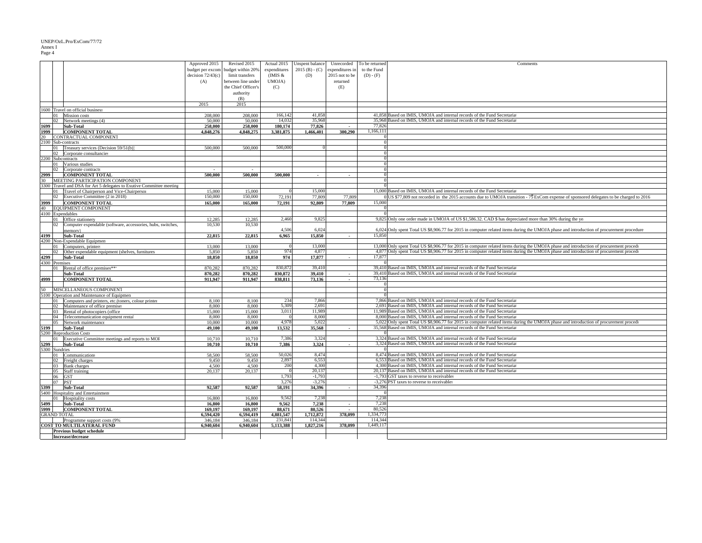#### UNEP/OzL.Pro/ExCom/77/72

### Annex I Page 4

|      |                                                                      | Approved 2015       | Revised 2015        | Actual 2015  | Unspent balance | Unrecorded      | To be returned       | Comments                                                                                                                                   |
|------|----------------------------------------------------------------------|---------------------|---------------------|--------------|-----------------|-----------------|----------------------|--------------------------------------------------------------------------------------------------------------------------------------------|
|      |                                                                      | budget per excom    | budget within 20%   | expenditures | $2015(B) - (C)$ | expenditures in | to the Fund          |                                                                                                                                            |
|      |                                                                      | decision $72/43(c)$ | limit transfers     | (IMIS $&$    | (D)             | 2015 not to be  | $(D) - (F)$          |                                                                                                                                            |
|      |                                                                      | (A)                 | between line under  | UMOJA)       |                 | returned        |                      |                                                                                                                                            |
|      |                                                                      |                     | the Chief Officer's | (C)          |                 | (E)             |                      |                                                                                                                                            |
|      |                                                                      |                     |                     |              |                 |                 |                      |                                                                                                                                            |
|      |                                                                      |                     | authority           |              |                 |                 |                      |                                                                                                                                            |
|      |                                                                      |                     | (B)                 |              |                 |                 |                      |                                                                                                                                            |
|      |                                                                      | 2015                | 2015                |              |                 |                 |                      |                                                                                                                                            |
|      | 1600 Travel on official business                                     |                     |                     |              |                 |                 |                      |                                                                                                                                            |
|      | 01 Mission costs                                                     | 208,000             | 208,000             | 166,142      | 41.858          |                 |                      | 41,858 Based on IMIS, UMOJA and internal records of the Fund Secretaria                                                                    |
|      | 02 Network meetings (4)                                              | 50.000              | 50.000              | 14.032       | 35.968          |                 |                      | 35.968 Based on IMIS, UMOJA and internal records of the Fund Secretaria                                                                    |
| 1699 | Sub-Total                                                            | 258,000             | 258,000             | 180,174      | 77,826          |                 | 77,826               |                                                                                                                                            |
| 1999 | <b>COMPONENT TOTAL</b>                                               | 4,848,276           | 4.848.275           | 3,381,875    | 1,466,401       | 300,290         | 1,166,111            |                                                                                                                                            |
|      | 20 CONTRACTUAL COMPONENT                                             |                     |                     |              |                 |                 |                      |                                                                                                                                            |
|      | 2100 Sub-contracts                                                   |                     |                     |              |                 |                 |                      |                                                                                                                                            |
|      | 01 Treasury services (Decision 59/51(b))                             | 500,000             | 500,000             | 500,000      |                 |                 | $\Omega$             |                                                                                                                                            |
|      | 02 Corporate consultancies                                           |                     |                     |              |                 |                 | $\Omega$             |                                                                                                                                            |
|      |                                                                      |                     |                     |              |                 |                 |                      |                                                                                                                                            |
|      | 2200 Subcontracts                                                    |                     |                     |              |                 |                 | $\Omega$<br>$\Omega$ |                                                                                                                                            |
|      | 01 Various studies                                                   |                     |                     |              |                 |                 |                      |                                                                                                                                            |
|      | 02 Corporate contracts                                               |                     |                     |              |                 |                 | $\Omega$             |                                                                                                                                            |
|      | 2999 COMPONENT TOTAL                                                 | 500,000             | 500,000             | 500,000      |                 |                 |                      |                                                                                                                                            |
|      | 30 MEETING PARTICIPATION COMPONENT                                   |                     |                     |              |                 |                 |                      |                                                                                                                                            |
|      | 3300 Travel and DSA for Art 5 delegates to Exutive Committee meeting |                     |                     |              |                 |                 |                      |                                                                                                                                            |
|      | 01 Travel of Chairperson and Vice-Chairperson                        | 15,000              | 15,000              |              | 15,000          |                 |                      | 15,000 Based on IMIS, UMOJA and internal records of the Fund Secretaria                                                                    |
|      | 02 Executive Committee (2 in 2018)                                   | 150,000             | 150,000             | 72,191       | 77,809          | 77,809          |                      | $0$ US \$77,809 not recorded in the 2015 accounts due to UMOJA transition - 7\; ExCom expense of sponsored delegates to be charged to 2016 |
| 3999 | <b>COMPONENT TOTAL</b>                                               | 165,000             | 165,000             | 72,191       | 92.809          | 77,809          | 15,000               |                                                                                                                                            |
|      | 40 EQUIPMENT COMPONENT                                               |                     |                     |              |                 |                 |                      |                                                                                                                                            |
|      | 4100 Expendables                                                     |                     |                     |              |                 |                 |                      |                                                                                                                                            |
|      |                                                                      |                     |                     | 2,460        | 9,825           |                 |                      | 9,825 Only one order made in UMOJA of US \$1,586.32. CAD \$ has depreciated more than 30% during the year.                                 |
|      | 01 Office stationery                                                 | 12,285              | 12,285              |              |                 |                 |                      |                                                                                                                                            |
|      | 02 Computer expendable (software, accessories, hubs, switches,       | 10,530              | 10.530              |              |                 |                 |                      |                                                                                                                                            |
|      | memory)                                                              |                     |                     | 4,506        | 6,024           |                 |                      | 6,024 Only spent Total US \$8,906.77 for 2015 in computer related items during the UMOJA phase and introduction of procurement procedure   |
| 4199 | Sub-Total                                                            | 22,815              | 22.815              | 6.965        | 15.850          |                 | 15.850               |                                                                                                                                            |
|      | 4200 Non-Expendable Equipmen                                         |                     |                     |              |                 |                 |                      |                                                                                                                                            |
|      | 01 Computers, printers                                               | 13,000              | 13,000              |              | 13,000          |                 |                      | 13,000 Only spent Total US \$8,906.77 for 2015 in computer related items during the UMOJA phase and introduction of procurement proced     |
|      | 02 Other expendable equipment (shelves, furnitures                   | 5.850               | 5.850               | 974          | 4.877           |                 |                      | 4,877 Only spent Total US \$8,906.77 for 2015 in computer related items during the UMOJA phase and introduction of procurement procedu     |
|      | 4299 Sub-Total                                                       | 18,850              | 18,850              | 974          | 17,877          |                 | 17,877               |                                                                                                                                            |
|      | 4300 Premises                                                        |                     |                     |              |                 |                 |                      |                                                                                                                                            |
|      | 01 Rental of office premises***                                      | 870.282             | 870,282             | 830,872      | 39,410          |                 |                      | 39,410 Based on IMIS, UMOJA and internal records of the Fund Secretaria                                                                    |
|      | Sub-Total                                                            | 870.282             | 870.282             | 830.872      | 39.410          | $\sim$          |                      | 39,410 Based on IMIS, UMOJA and internal records of the Fund Secretaria                                                                    |
| 4999 | <b>COMPONENT TOTAL</b>                                               | 911,947             | 911,947             | 838,811      | 73,136          | $\sim$          | 73,136               |                                                                                                                                            |
|      |                                                                      |                     |                     |              |                 |                 |                      |                                                                                                                                            |
|      |                                                                      |                     |                     |              |                 |                 | $\Omega$             |                                                                                                                                            |
|      | 50 MISCELLANEOUS COMPONENT                                           |                     |                     |              |                 |                 |                      |                                                                                                                                            |
|      | 5100 Operation and Maintenance of Equipmen                           |                     |                     |              |                 |                 |                      |                                                                                                                                            |
|      | 01 Computers and printers, etc.(toners, colour printer               | 8,100               | 8,100               | 234          | 7,866           |                 |                      | 7,866 Based on IMIS, UMOJA and internal records of the Fund Secretarial                                                                    |
|      | 02 Maintenance of office premise:                                    | 8,000               | 8.000               | 5.309        | 2.691           |                 |                      | 2,691 Based on IMIS, UMOJA and internal records of the Fund Secretaria                                                                     |
|      | 03 Rental of photocopiers (office                                    | 15,000              | 15,000              | 3,011        | 11.989          |                 |                      | 11,989 Based on IMIS, UMOJA and internal records of the Fund Secretaria                                                                    |
|      | 04 Telecommunication equipment rental                                | 8,000               | 8,000               |              | 8,000           |                 |                      | 8,000 Based on IMIS, UMOJA and internal records of the Fund Secretaria                                                                     |
|      | 05 Network maintenance                                               | 10,000              | 10,000              | 4.978        | 5.022           |                 |                      | 5,022 Only spent Total US \$8,906.77 for 2015 in computer related items during the UMOJA phase and introduction of procurement procedi-    |
|      | 5199 Sub-Total                                                       | 49,100              | 49,100              | 13.532       | 35.568          |                 |                      | 35,568 Based on IMIS, UMOJA and internal records of the Fund Secretaria                                                                    |
|      | 5200 Reproduction Costs                                              |                     |                     |              |                 |                 |                      |                                                                                                                                            |
|      | 01 Executive Committee meetings and reports to MOI                   | 10.710              | 10,710              | 7,386        | 3,324           |                 |                      | 3,324 Based on IMIS, UMOJA and internal records of the Fund Secretaria                                                                     |
| 5299 | <b>Sub-Total</b>                                                     | 10,710              | 10,710              | 7,386        | 3.324           |                 |                      | 3.324 Based on IMIS, UMOJA and internal records of the Fund Secretaria                                                                     |
|      | 5300 Sundries                                                        |                     |                     |              |                 |                 |                      |                                                                                                                                            |
|      | 01 Communications                                                    | 58,500              | 58,500              | 50,026       | 8,474           |                 |                      | 8,474 Based on IMIS, UMOJA and internal records of the Fund Secretaria                                                                     |
|      | 02 Freight charges                                                   | 9.450               | 9.450               | 2.897        | 6.553           |                 |                      | 6,553 Based on IMIS, UMOJA and internal records of the Fund Secretarial                                                                    |
|      | 03 Bank charges                                                      | 4,500               | 4.500               | 200          | 4,300           |                 |                      | 4,300 Based on IMIS, UMOJA and internal records of the Fund Secretarial                                                                    |
|      |                                                                      |                     |                     |              | 20.137          |                 |                      | 20,137 Based on IMIS, UMOJA and internal records of the Fund Secretaria                                                                    |
|      | 05 Staff training                                                    | 20,137              | 20,137              | 1,793        | $-1,793$        |                 |                      |                                                                                                                                            |
|      | 06 GST                                                               |                     |                     |              |                 |                 |                      | -1,793 GST taxes to reverse to receivables                                                                                                 |
|      | 07 PST                                                               |                     |                     | 3,276        | $-3,276$        |                 |                      | -3,276 PST taxes to reverse to receivables                                                                                                 |
| 5399 | <b>Sub-Total</b>                                                     | 92,587              | 92,587              | 58,191       | 34,396          | $\blacksquare$  | 34,396               |                                                                                                                                            |
|      | 5400 Hospitality and Entertainmen                                    |                     |                     |              |                 |                 |                      |                                                                                                                                            |
|      | 01 Hospitality costs                                                 | 16,800              | 16,800              | 9,562        | 7,238           |                 | 7,238                |                                                                                                                                            |
| 5499 | Sub-Total                                                            | 16.800              | 16.800              | 9.562        | 7.238           | $\sim$          | 7,238                |                                                                                                                                            |
| 5999 | <b>COMPONENT TOTAL</b>                                               | 169,197             | 169,197             | 88,671       | 80,526          |                 | 80.526               |                                                                                                                                            |
|      | <b>GRAND TOTAL</b>                                                   | 6,594,420           | 6,594,419           | 4,881,547    | 1,712,872       | 378,099         | 1,334,773            |                                                                                                                                            |
|      | Programme support costs (9%                                          | 346,184             | 346,184             | 231,841      | 114,344         |                 | 114,344              |                                                                                                                                            |
|      | <b>COST TO MULTILATERAL FUND</b>                                     | 6.940.604           | 6,940,604           | 5,113,388    | 1,827,216       | 378,099         | 1,449,117            |                                                                                                                                            |
|      | <b>Previous budget schedule</b>                                      |                     |                     |              |                 |                 |                      |                                                                                                                                            |
|      | Increase/decrease                                                    |                     |                     |              |                 |                 |                      |                                                                                                                                            |
|      |                                                                      |                     |                     |              |                 |                 |                      |                                                                                                                                            |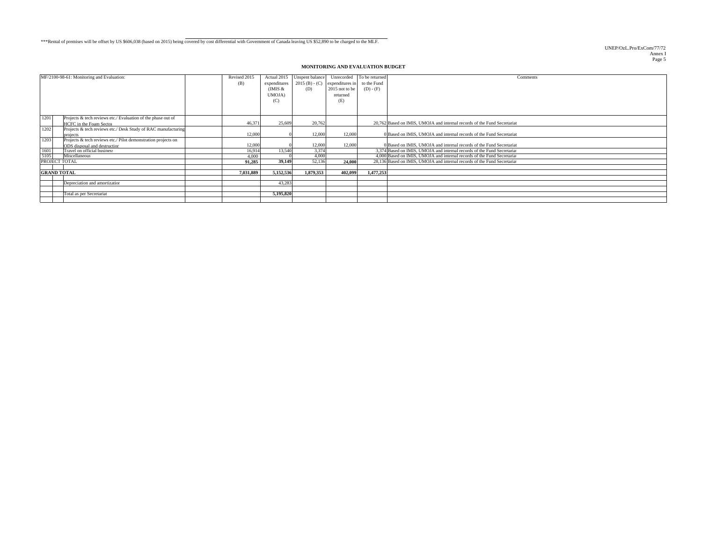#### \*\*\*Rental of premises will be offset by US \$606,038 (based on 2015) being covered by cost differential with Government of Canada leaving US \$52,890 to be charged to the MLF.

UNEP/OzL.Pro/ExCom/77/72 Annex I Page 5

#### **MONITORING AND EVALUATION BUDGET**

| MF/2100-98-61: Monitoring and Evaluation:                                                             | Revised 2015<br>(B) | Actual 2015<br>expenditures<br>(IMIS $&$<br>UMOJA)<br>(C) | Unspent balance<br>(D) | Unrecorded To be returned<br>$2015$ (B) - (C) expenditures in<br>2015 not to be<br>returned<br>(E) | to the Fund<br>$(D) - (F)$ | Comments                                                                                                                                          |
|-------------------------------------------------------------------------------------------------------|---------------------|-----------------------------------------------------------|------------------------|----------------------------------------------------------------------------------------------------|----------------------------|---------------------------------------------------------------------------------------------------------------------------------------------------|
| 1201<br>Projects & tech reviews etc./ Evaluation of the phase out of<br>HCFC in the Foam Sector       | 46.371              | 25,609                                                    | 20,762                 |                                                                                                    |                            | 20.762 Based on IMIS, UMOJA and internal records of the Fund Secretariat                                                                          |
| 1202<br>Projects & tech reviews etc./ Desk Study of RAC manufacturing<br>projects                     | 12,000              |                                                           | 12,000                 | 12,000                                                                                             |                            | 0 Based on IMIS, UMOJA and internal records of the Fund Secretariat                                                                               |
| 1203<br>Projects & tech reviews etc./ Pilot demonstration projects on<br>ODS disposal and destruction | 12,000              |                                                           | 12,000                 | 12,000                                                                                             |                            | 0 Based on IMIS, UMOJA and internal records of the Fund Secretariat                                                                               |
| $\frac{1601}{5105}$<br>Travel on official business                                                    | 16.914              | 13,540                                                    | 3,374                  |                                                                                                    |                            | 3,374 Based on IMIS, UMOJA and internal records of the Fund Secretaria                                                                            |
| Miscellaneous<br>PROJECT TOTAL                                                                        | 4.000<br>91.285     | 39.149                                                    | 4,000<br>52,136        | 24,000                                                                                             |                            | 4,000 Based on IMIS, UMOJA and internal records of the Fund Secretaria<br>28.136 Based on IMIS, UMOJA and internal records of the Fund Secretaria |
| <b>GRAND TOTAL</b>                                                                                    | 7.031.889           | 5,152,536                                                 | 1.879.353              | 402.099                                                                                            | 1.477.253                  |                                                                                                                                                   |
| Depreciation and amortization                                                                         |                     | 43.283                                                    |                        |                                                                                                    |                            |                                                                                                                                                   |
| Total as per Secretariat                                                                              |                     | 5,195,820                                                 |                        |                                                                                                    |                            |                                                                                                                                                   |
|                                                                                                       |                     |                                                           |                        |                                                                                                    |                            |                                                                                                                                                   |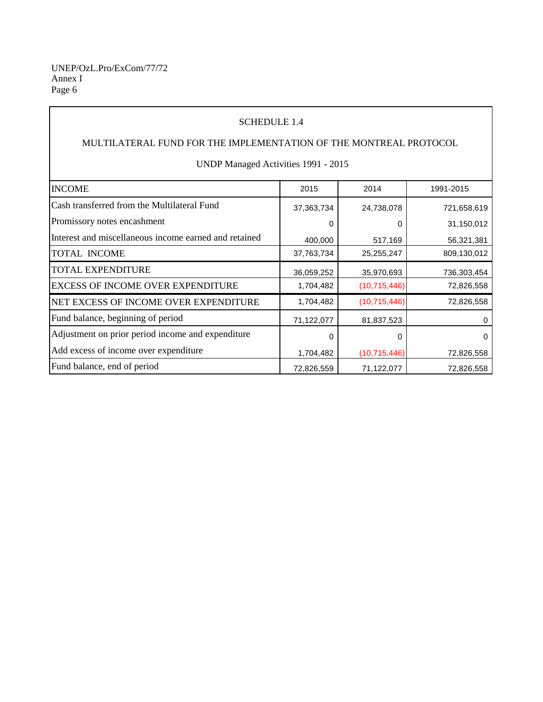Annex I Page 6 UNEP/OzL.Pro/ExCom/77/72

### SCHEDULE 1.4

# MULTILATERAL FUND FOR THE IMPLEMENTATION OF THE MONTREAL PROTOCOL

UNDP Managed Activities 1991 - 2015

| <b>INCOME</b>                                         | 2015         | 2014           | 1991-2015   |
|-------------------------------------------------------|--------------|----------------|-------------|
| Cash transferred from the Multilateral Fund           | 37, 363, 734 | 24,738,078     | 721,658,619 |
| Promissory notes encashment                           |              |                | 31,150,012  |
| Interest and miscellaneous income earned and retained | 400,000      | 517,169        | 56,321,381  |
| <b>TOTAL INCOME</b>                                   | 37,763,734   | 25,255,247     | 809,130,012 |
| <b>TOTAL EXPENDITURE</b>                              | 36,059,252   | 35,970,693     | 736,303,454 |
| <b>EXCESS OF INCOME OVER EXPENDITURE</b>              | 1,704,482    | (10,715,446)   | 72,826,558  |
| NET EXCESS OF INCOME OVER EXPENDITURE                 | 1,704,482    | (10,715,446)   | 72,826,558  |
| Fund balance, beginning of period                     | 71,122,077   | 81,837,523     |             |
| Adjustment on prior period income and expenditure     | O            | O              | 0           |
| Add excess of income over expenditure                 | 1,704,482    | (10, 715, 446) | 72,826,558  |
| Fund balance, end of period                           | 72,826,559   | 71,122,077     | 72,826,558  |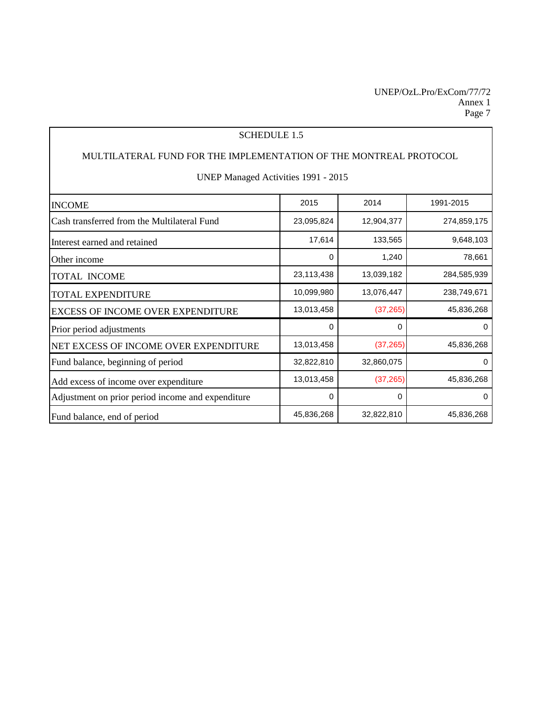### SCHEDULE 1.5

### MULTILATERAL FUND FOR THE IMPLEMENTATION OF THE MONTREAL PROTOCOL

### UNEP Managed Activities 1991 - 2015

| <b>INCOME</b>                                     | 2015       | 2014       | 1991-2015   |
|---------------------------------------------------|------------|------------|-------------|
| Cash transferred from the Multilateral Fund       | 23,095,824 | 12,904,377 | 274,859,175 |
| Interest earned and retained                      | 17,614     | 133,565    | 9,648,103   |
| Other income                                      | 0          | 1,240      | 78,661      |
| <b>TOTAL INCOME</b>                               | 23,113,438 | 13,039,182 | 284,585,939 |
| <b>TOTAL EXPENDITURE</b>                          | 10,099,980 | 13,076,447 | 238,749,671 |
| <b>EXCESS OF INCOME OVER EXPENDITURE</b>          | 13,013,458 | (37, 265)  | 45,836,268  |
| Prior period adjustments                          | 0          | 0          | 0           |
| NET EXCESS OF INCOME OVER EXPENDITURE             | 13,013,458 | (37, 265)  | 45,836,268  |
| Fund balance, beginning of period                 | 32,822,810 | 32,860,075 | 0           |
| Add excess of income over expenditure             | 13,013,458 | (37, 265)  | 45,836,268  |
| Adjustment on prior period income and expenditure | 0          | 0          | 0           |
| Fund balance, end of period                       | 45,836,268 | 32,822,810 | 45,836,268  |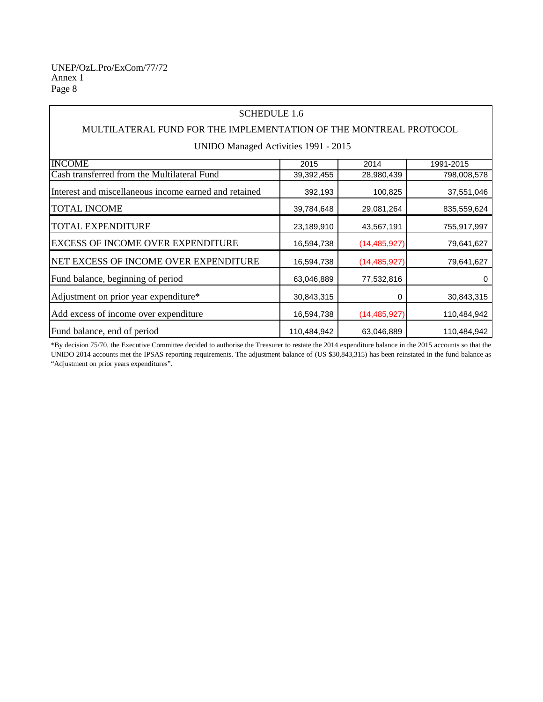### SCHEDULE 1.6

### MULTILATERAL FUND FOR THE IMPLEMENTATION OF THE MONTREAL PROTOCOL

UNIDO Managed Activities 1991 - 2015

| <b>INCOME</b>                                         | 2015        | 2014           | 1991-2015   |
|-------------------------------------------------------|-------------|----------------|-------------|
| Cash transferred from the Multilateral Fund           | 39,392,455  | 28,980,439     | 798,008,578 |
| Interest and miscellaneous income earned and retained | 392,193     | 100,825        | 37,551,046  |
| <b>TOTAL INCOME</b>                                   | 39,784,648  | 29,081,264     | 835,559,624 |
| <b>TOTAL EXPENDITURE</b>                              | 23,189,910  | 43,567,191     | 755,917,997 |
| <b>EXCESS OF INCOME OVER EXPENDITURE</b>              | 16,594,738  | (14, 485, 927) | 79,641,627  |
| NET EXCESS OF INCOME OVER EXPENDITURE                 | 16,594,738  | (14, 485, 927) | 79,641,627  |
| Fund balance, beginning of period                     | 63,046,889  | 77,532,816     | 0           |
| Adjustment on prior year expenditure*                 | 30,843,315  | 0              | 30,843,315  |
| Add excess of income over expenditure                 | 16,594,738  | (14, 485, 927) | 110,484,942 |
| Fund balance, end of period                           | 110,484,942 | 63,046,889     | 110,484,942 |

\*By decision 75/70, the Executive Committee decided to authorise the Treasurer to restate the 2014 expenditure balance in the 2015 accounts so that the UNIDO 2014 accounts met the IPSAS reporting requirements. The adjustment balance of (US \$30,843,315) has been reinstated in the fund balance as "Adjustment on prior years expenditures".